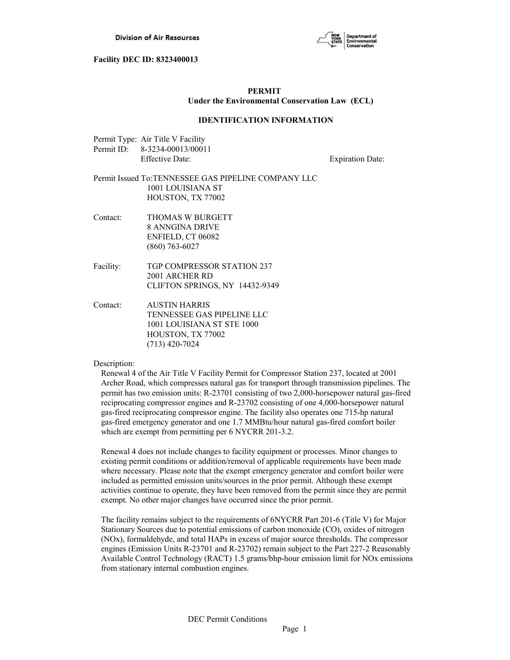

## **PERMIT Under the Environmental Conservation Law (ECL)**

#### **IDENTIFICATION INFORMATION**

| Permit Type: Air Title V Facility |
|-----------------------------------|
| Permit ID: 8-3234-00013/00011     |
| Effective Date:                   |

**Expiration Date:** 

## Permit Issued To:TENNESSEE GAS PIPELINE COMPANY LLC 1001 LOUISIANA ST HOUSTON, TX 77002

- Contact: THOMAS W BURGETT 8 ANNGINA DRIVE ENFIELD, CT 06082 (860) 763-6027
- Facility: TGP COMPRESSOR STATION 237 2001 ARCHER RD CLIFTON SPRINGS, NY 14432-9349
- Contact: AUSTIN HARRIS TENNESSEE GAS PIPELINE LLC 1001 LOUISIANA ST STE 1000 HOUSTON, TX 77002 (713) 420-7024

## Description:

Renewal 4 of the Air Title V Facility Permit for Compressor Station 237, located at 2001 Archer Road, which compresses natural gas for transport through transmission pipelines. The permit has two emission units: R-23701 consisting of two 2,000-horsepower natural gas-fired reciprocating compressor engines and R-23702 consisting of one 4,000-horsepower natural gas-fired reciprocating compressor engine. The facility also operates one 715-hp natural gas-fired emergency generator and one 1.7 MMBtu/hour natural gas-fired comfort boiler which are exempt from permitting per 6 NYCRR 201-3.2.

Renewal 4 does not include changes to facility equipment or processes. Minor changes to existing permit conditions or addition/removal of applicable requirements have been made where necessary. Please note that the exempt emergency generator and comfort boiler were included as permitted emission units/sources in the prior permit. Although these exempt activities continue to operate, they have been removed from the permit since they are permit exempt. No other major changes have occurred since the prior permit.

The facility remains subject to the requirements of 6NYCRR Part 201-6 (Title V) for Major Stationary Sources due to potential emissions of carbon monoxide (CO), oxides of nitrogen (NOx), formaldehyde, and total HAPs in excess of major source thresholds. The compressor engines (Emission Units R-23701 and R-23702) remain subject to the Part 227-2 Reasonably Available Control Technology (RACT) 1.5 grams/bhp-hour emission limit for NOx emissions from stationary internal combustion engines.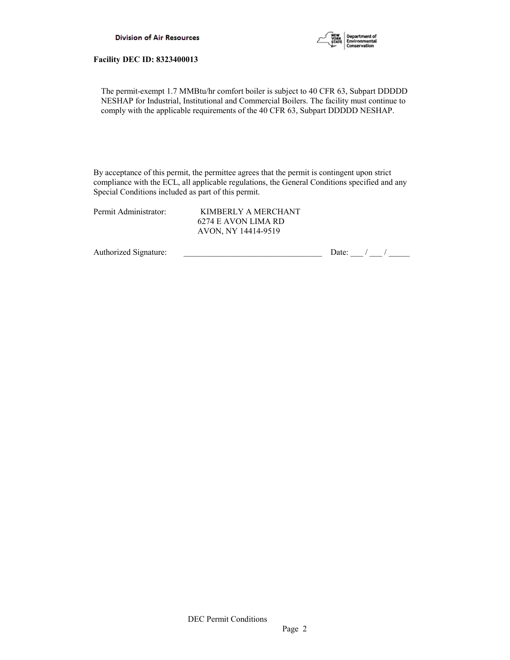

The permit-exempt 1.7 MMBtu/hr comfort boiler is subject to 40 CFR 63, Subpart DDDDD NESHAP for Industrial, Institutional and Commercial Boilers. The facility must continue to comply with the applicable requirements of the 40 CFR 63, Subpart DDDDD NESHAP.

By acceptance of this permit, the permittee agrees that the permit is contingent upon strict compliance with the ECL, all applicable regulations, the General Conditions specified and any Special Conditions included as part of this permit.

| Permit Administrator: | KIMBERLY A MERCHANT |
|-----------------------|---------------------|
|                       | 6274 E AVON LIMA RD |
|                       | AVON, NY 14414-9519 |

Authorized Signature:  $\frac{1}{\sqrt{2\pi}}$  Date:  $\frac{1}{\sqrt{2\pi}}$  Date:  $\frac{1}{\sqrt{2\pi}}$  /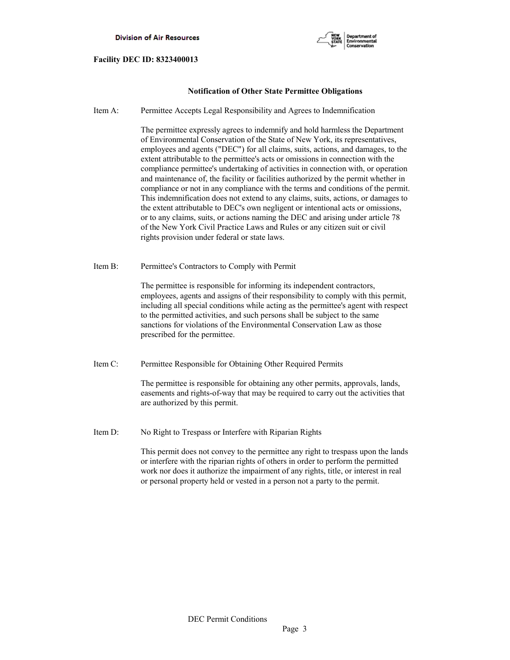

## **Notification of Other State Permittee Obligations**

Item A: Permittee Accepts Legal Responsibility and Agrees to Indemnification

 The permittee expressly agrees to indemnify and hold harmless the Department of Environmental Conservation of the State of New York, its representatives, employees and agents ("DEC") for all claims, suits, actions, and damages, to the extent attributable to the permittee's acts or omissions in connection with the compliance permittee's undertaking of activities in connection with, or operation and maintenance of, the facility or facilities authorized by the permit whether in compliance or not in any compliance with the terms and conditions of the permit. This indemnification does not extend to any claims, suits, actions, or damages to the extent attributable to DEC's own negligent or intentional acts or omissions, or to any claims, suits, or actions naming the DEC and arising under article 78 of the New York Civil Practice Laws and Rules or any citizen suit or civil rights provision under federal or state laws.

Item B: Permittee's Contractors to Comply with Permit

 The permittee is responsible for informing its independent contractors, employees, agents and assigns of their responsibility to comply with this permit, including all special conditions while acting as the permittee's agent with respect to the permitted activities, and such persons shall be subject to the same sanctions for violations of the Environmental Conservation Law as those prescribed for the permittee.

Item C: Permittee Responsible for Obtaining Other Required Permits

 The permittee is responsible for obtaining any other permits, approvals, lands, easements and rights-of-way that may be required to carry out the activities that are authorized by this permit.

Item D: No Right to Trespass or Interfere with Riparian Rights

 This permit does not convey to the permittee any right to trespass upon the lands or interfere with the riparian rights of others in order to perform the permitted work nor does it authorize the impairment of any rights, title, or interest in real or personal property held or vested in a person not a party to the permit.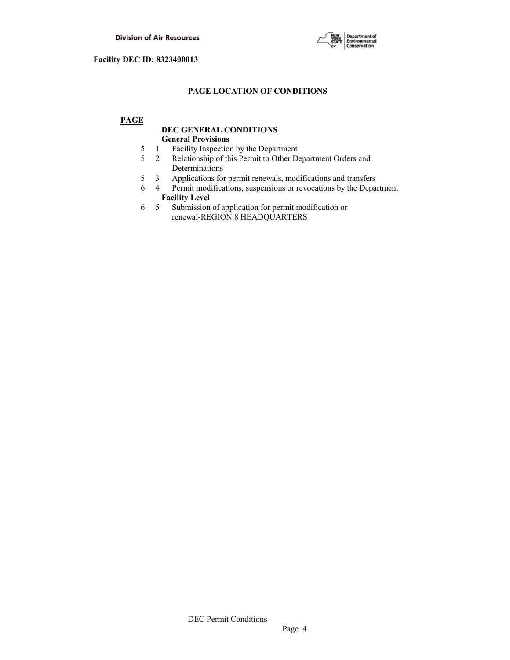

## **PAGE LOCATION OF CONDITIONS**

## **PAGE**

## **DEC GENERAL CONDITIONS General Provisions**

- 5 1 Facility Inspection by the Department
- 5 2 Relationship of this Permit to Other Department Orders and Determinations
- 5 3 Applications for permit renewals, modifications and transfers
- 6 4 Permit modifications, suspensions or revocations by the Department  **Facility Level**
- 6 5 Submission of application for permit modification or renewal-REGION 8 HEADQUARTERS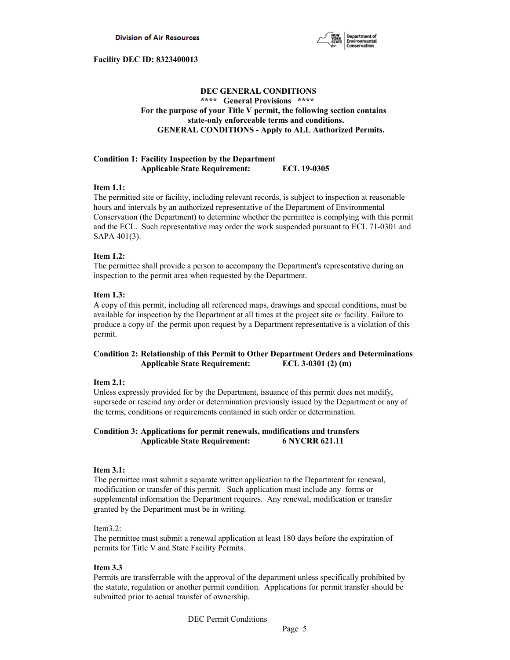

## **DEC GENERAL CONDITIONS \*\*\*\* General Provisions \*\*\*\* For the purpose of your Title V permit, the following section contains state-only enforceable terms and conditions. GENERAL CONDITIONS - Apply to ALL Authorized Permits.**

## **Condition 1: Facility Inspection by the Department Applicable State Requirement: ECL 19-0305**

## **Item 1.1:**

The permitted site or facility, including relevant records, is subject to inspection at reasonable hours and intervals by an authorized representative of the Department of Environmental Conservation (the Department) to determine whether the permittee is complying with this permit and the ECL. Such representative may order the work suspended pursuant to ECL 71-0301 and SAPA 401(3).

## **Item 1.2:**

The permittee shall provide a person to accompany the Department's representative during an inspection to the permit area when requested by the Department.

## **Item 1.3:**

A copy of this permit, including all referenced maps, drawings and special conditions, must be available for inspection by the Department at all times at the project site or facility. Failure to produce a copy of the permit upon request by a Department representative is a violation of this permit.

## **Condition 2: Relationship of this Permit to Other Department Orders and Determinations Applicable State Requirement: ECL 3-0301 (2) (m)**

## **Item 2.1:**

Unless expressly provided for by the Department, issuance of this permit does not modify, supersede or rescind any order or determination previously issued by the Department or any of the terms, conditions or requirements contained in such order or determination.

## **Condition 3: Applications for permit renewals, modifications and transfers Applicable State Requirement: 6 NYCRR 621.11**

## **Item 3.1:**

The permittee must submit a separate written application to the Department for renewal, modification or transfer of this permit. Such application must include any forms or supplemental information the Department requires. Any renewal, modification or transfer granted by the Department must be in writing.

## Item3.2:

The permittee must submit a renewal application at least 180 days before the expiration of permits for Title V and State Facility Permits.

## **Item 3.3**

Permits are transferrable with the approval of the department unless specifically prohibited by the statute, regulation or another permit condition. Applications for permit transfer should be submitted prior to actual transfer of ownership.

DEC Permit Conditions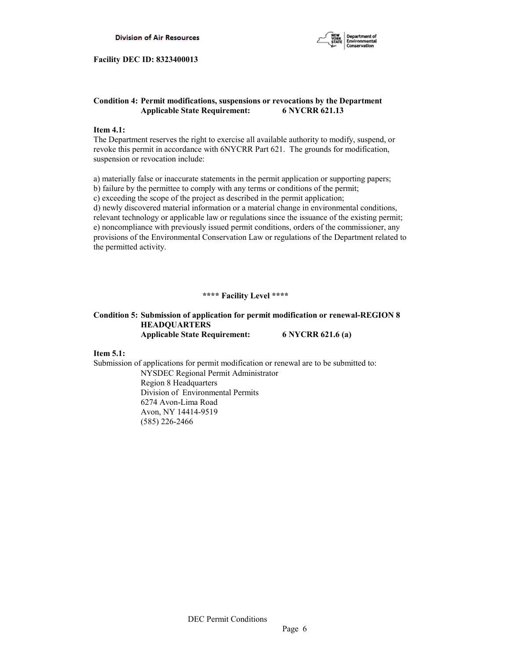

## **Condition 4: Permit modifications, suspensions or revocations by the Department Applicable State Requirement: 6 NYCRR 621.13**

## **Item 4.1:**

The Department reserves the right to exercise all available authority to modify, suspend, or revoke this permit in accordance with 6NYCRR Part 621. The grounds for modification, suspension or revocation include:

a) materially false or inaccurate statements in the permit application or supporting papers; b) failure by the permittee to comply with any terms or conditions of the permit; c) exceeding the scope of the project as described in the permit application; d) newly discovered material information or a material change in environmental conditions, relevant technology or applicable law or regulations since the issuance of the existing permit; e) noncompliance with previously issued permit conditions, orders of the commissioner, any provisions of the Environmental Conservation Law or regulations of the Department related to the permitted activity.

#### **\*\*\*\* Facility Level \*\*\*\***

## **Condition 5: Submission of application for permit modification or renewal-REGION 8 HEADQUARTERS Applicable State Requirement: 6 NYCRR 621.6 (a)**

#### **Item 5.1:**

Submission of applications for permit modification or renewal are to be submitted to: NYSDEC Regional Permit Administrator Region 8 Headquarters Division of Environmental Permits 6274 Avon-Lima Road Avon, NY 14414-9519

(585) 226-2466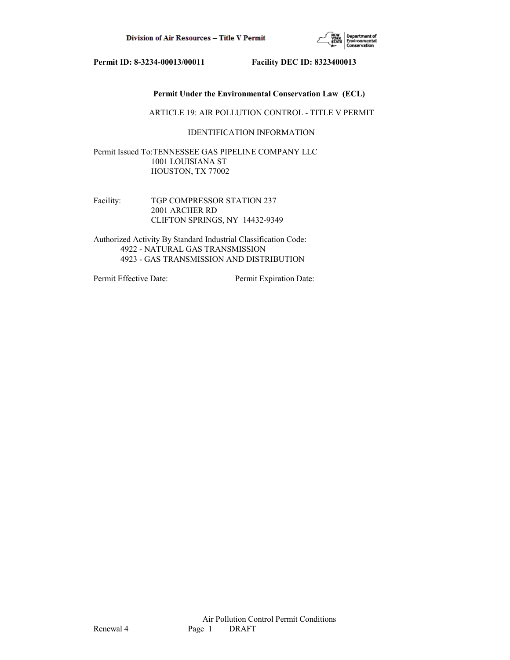

## **Permit Under the Environmental Conservation Law (ECL)**

ARTICLE 19: AIR POLLUTION CONTROL - TITLE V PERMIT

## IDENTIFICATION INFORMATION

Permit Issued To:TENNESSEE GAS PIPELINE COMPANY LLC 1001 LOUISIANA ST HOUSTON, TX 77002

Facility: TGP COMPRESSOR STATION 237 2001 ARCHER RD CLIFTON SPRINGS, NY 14432-9349

Authorized Activity By Standard Industrial Classification Code: 4922 - NATURAL GAS TRANSMISSION 4923 - GAS TRANSMISSION AND DISTRIBUTION

Permit Effective Date: Permit Expiration Date: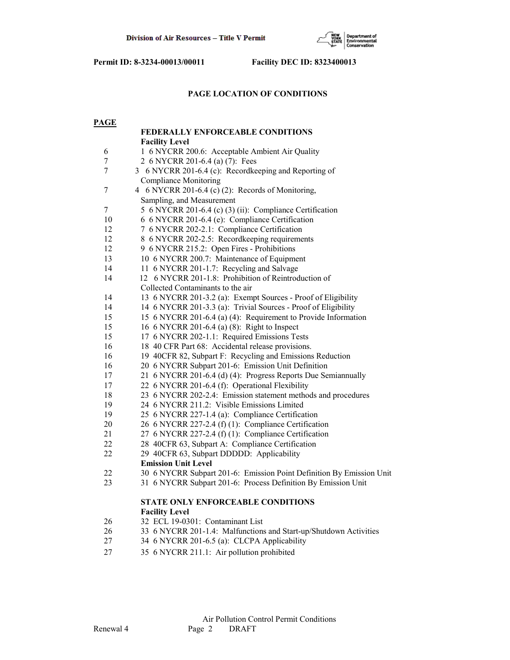

## **PAGE LOCATION OF CONDITIONS**

| <b>PAGE</b> |                                                                      |  |
|-------------|----------------------------------------------------------------------|--|
|             | <b>FEDERALLY ENFORCEABLE CONDITIONS</b>                              |  |
|             | <b>Facility Level</b>                                                |  |
| 6           | 1 6 NYCRR 200.6: Acceptable Ambient Air Quality                      |  |
| 7           | 2 6 NYCRR 201-6.4 (a) (7): Fees                                      |  |
| 7           | 3 6 NYCRR 201-6.4 (c): Recordkeeping and Reporting of                |  |
|             | <b>Compliance Monitoring</b>                                         |  |
| 7           | 4 6 NYCRR 201-6.4 (c) (2): Records of Monitoring,                    |  |
|             | Sampling, and Measurement                                            |  |
| 7           | 5 6 NYCRR 201-6.4 (c) (3) (ii): Compliance Certification             |  |
| 10          | 6 6 NYCRR 201-6.4 (e): Compliance Certification                      |  |
| 12          | 7 6 NYCRR 202-2.1: Compliance Certification                          |  |
| 12          | 8 6 NYCRR 202-2.5: Recordkeeping requirements                        |  |
| 12          | 9 6 NYCRR 215.2: Open Fires - Prohibitions                           |  |
| 13          | 10 6 NYCRR 200.7: Maintenance of Equipment                           |  |
| 14          | 11 6 NYCRR 201-1.7: Recycling and Salvage                            |  |
| 14          | 12 6 NYCRR 201-1.8: Prohibition of Reintroduction of                 |  |
|             | Collected Contaminants to the air                                    |  |
| 14          | 13 6 NYCRR 201-3.2 (a): Exempt Sources - Proof of Eligibility        |  |
| 14          | 14 6 NYCRR 201-3.3 (a): Trivial Sources - Proof of Eligibility       |  |
| 15          | 15 6 NYCRR 201-6.4 (a) (4): Requirement to Provide Information       |  |
| 15          | 16 6 NYCRR 201-6.4 (a) (8): Right to Inspect                         |  |
| 15          | 17 6 NYCRR 202-1.1: Required Emissions Tests                         |  |
| 16          | 18 40 CFR Part 68: Accidental release provisions.                    |  |
| 16          | 19 40CFR 82, Subpart F: Recycling and Emissions Reduction            |  |
| 16          | 20 6 NYCRR Subpart 201-6: Emission Unit Definition                   |  |
| 17          | 21 6 NYCRR 201-6.4 (d) (4): Progress Reports Due Semiannually        |  |
| 17          | 22 6 NYCRR 201-6.4 (f): Operational Flexibility                      |  |
| 18          | 23 6 NYCRR 202-2.4: Emission statement methods and procedures        |  |
| 19          | 24 6 NYCRR 211.2: Visible Emissions Limited                          |  |
| 19          | 25 6 NYCRR 227-1.4 (a): Compliance Certification                     |  |
| 20          | 26 6 NYCRR 227-2.4 (f) (1): Compliance Certification                 |  |
| 21          | 27 6 NYCRR 227-2.4 (f) (1): Compliance Certification                 |  |
| 22          | 28 40CFR 63, Subpart A: Compliance Certification                     |  |
| 22          | 29 40CFR 63, Subpart DDDDD: Applicability                            |  |
|             | <b>Emission Unit Level</b>                                           |  |
| 22          | 30 6 NYCRR Subpart 201-6: Emission Point Definition By Emission Unit |  |
| 23          | 31 6 NYCRR Subpart 201-6: Process Definition By Emission Unit        |  |
|             |                                                                      |  |
|             | <b>STATE ONLY ENFORCEABLE CONDITIONS</b><br><b>Facility Level</b>    |  |
| 26          | 32 ECL 19-0301: Contaminant List                                     |  |
| 26          | 33 6 NYCRR 201-1.4: Malfunctions and Start-up/Shutdown Activities    |  |
| 27          | 34 6 NYCRR 201-6.5 (a): CLCPA Applicability                          |  |
|             |                                                                      |  |
| 27          | 35 6 NYCRR 211.1: Air pollution prohibited                           |  |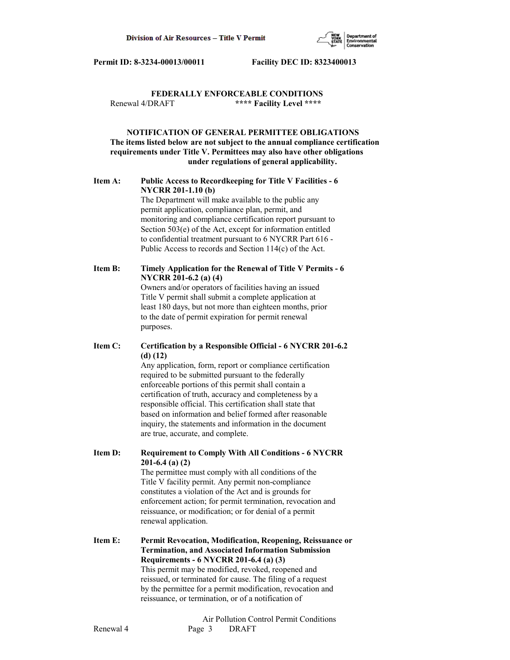

## **FEDERALLY ENFORCEABLE CONDITIONS** Renewal 4/DRAFT **\*\*\*\* Facility Level \*\*\*\***

## **NOTIFICATION OF GENERAL PERMITTEE OBLIGATIONS The items listed below are not subject to the annual compliance certification requirements under Title V. Permittees may also have other obligations under regulations of general applicability.**

## **Item A: Public Access to Recordkeeping for Title V Facilities - 6 NYCRR 201-1.10 (b)**

 The Department will make available to the public any permit application, compliance plan, permit, and monitoring and compliance certification report pursuant to Section 503(e) of the Act, except for information entitled to confidential treatment pursuant to 6 NYCRR Part 616 - Public Access to records and Section 114(c) of the Act.

## **Item B: Timely Application for the Renewal of Title V Permits - 6 NYCRR 201-6.2 (a) (4)** Owners and/or operators of facilities having an issued

 Title V permit shall submit a complete application at least 180 days, but not more than eighteen months, prior to the date of permit expiration for permit renewal purposes.

## **Item C: Certification by a Responsible Official - 6 NYCRR 201-6.2 (d) (12)**

 Any application, form, report or compliance certification required to be submitted pursuant to the federally enforceable portions of this permit shall contain a certification of truth, accuracy and completeness by a responsible official. This certification shall state that based on information and belief formed after reasonable inquiry, the statements and information in the document are true, accurate, and complete.

**Item D: Requirement to Comply With All Conditions - 6 NYCRR 201-6.4 (a) (2)**

 The permittee must comply with all conditions of the Title V facility permit. Any permit non-compliance constitutes a violation of the Act and is grounds for enforcement action; for permit termination, revocation and reissuance, or modification; or for denial of a permit renewal application.

## **Item E: Permit Revocation, Modification, Reopening, Reissuance or Termination, and Associated Information Submission Requirements - 6 NYCRR 201-6.4 (a) (3)** This permit may be modified, revoked, reopened and reissued, or terminated for cause. The filing of a request by the permittee for a permit modification, revocation and reissuance, or termination, or of a notification of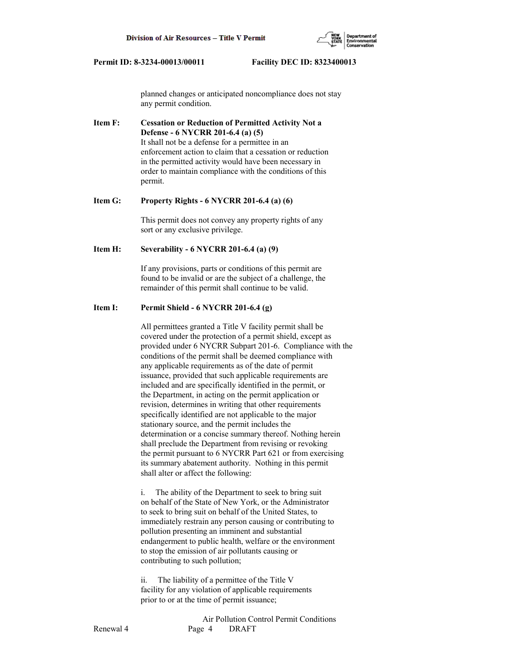

 planned changes or anticipated noncompliance does not stay any permit condition.

**Item F: Cessation or Reduction of Permitted Activity Not a Defense - 6 NYCRR 201-6.4 (a) (5)** It shall not be a defense for a permittee in an enforcement action to claim that a cessation or reduction in the permitted activity would have been necessary in order to maintain compliance with the conditions of this permit.

## **Item G: Property Rights - 6 NYCRR 201-6.4 (a) (6)**

 This permit does not convey any property rights of any sort or any exclusive privilege.

## **Item H: Severability - 6 NYCRR 201-6.4 (a) (9)**

 If any provisions, parts or conditions of this permit are found to be invalid or are the subject of a challenge, the remainder of this permit shall continue to be valid.

#### **Item I: Permit Shield - 6 NYCRR 201-6.4 (g)**

 All permittees granted a Title V facility permit shall be covered under the protection of a permit shield, except as provided under 6 NYCRR Subpart 201-6. Compliance with the conditions of the permit shall be deemed compliance with any applicable requirements as of the date of permit issuance, provided that such applicable requirements are included and are specifically identified in the permit, or the Department, in acting on the permit application or revision, determines in writing that other requirements specifically identified are not applicable to the major stationary source, and the permit includes the determination or a concise summary thereof. Nothing herein shall preclude the Department from revising or revoking the permit pursuant to 6 NYCRR Part 621 or from exercising its summary abatement authority. Nothing in this permit shall alter or affect the following:

 i. The ability of the Department to seek to bring suit on behalf of the State of New York, or the Administrator to seek to bring suit on behalf of the United States, to immediately restrain any person causing or contributing to pollution presenting an imminent and substantial endangerment to public health, welfare or the environment to stop the emission of air pollutants causing or contributing to such pollution;

 ii. The liability of a permittee of the Title V facility for any violation of applicable requirements prior to or at the time of permit issuance;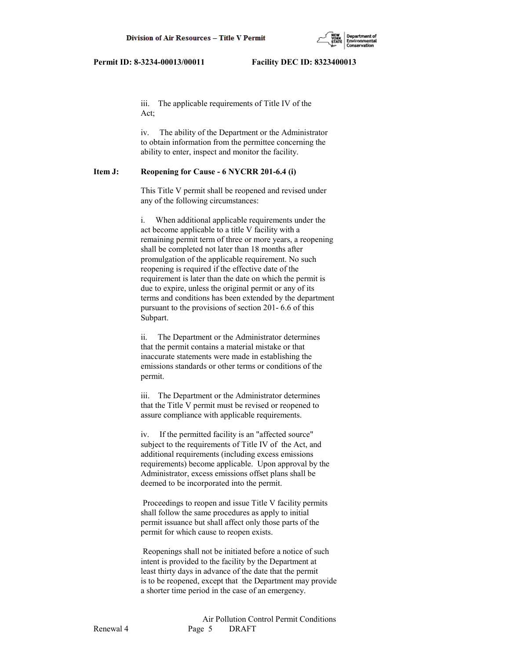

 iii. The applicable requirements of Title IV of the Act;

 iv. The ability of the Department or the Administrator to obtain information from the permittee concerning the ability to enter, inspect and monitor the facility.

#### **Item J: Reopening for Cause - 6 NYCRR 201-6.4 (i)**

 This Title V permit shall be reopened and revised under any of the following circumstances:

 i. When additional applicable requirements under the act become applicable to a title V facility with a remaining permit term of three or more years, a reopening shall be completed not later than 18 months after promulgation of the applicable requirement. No such reopening is required if the effective date of the requirement is later than the date on which the permit is due to expire, unless the original permit or any of its terms and conditions has been extended by the department pursuant to the provisions of section 201- 6.6 of this Subpart.

 ii. The Department or the Administrator determines that the permit contains a material mistake or that inaccurate statements were made in establishing the emissions standards or other terms or conditions of the permit.

 iii. The Department or the Administrator determines that the Title V permit must be revised or reopened to assure compliance with applicable requirements.

 iv. If the permitted facility is an "affected source" subject to the requirements of Title IV of the Act, and additional requirements (including excess emissions requirements) become applicable. Upon approval by the Administrator, excess emissions offset plans shall be deemed to be incorporated into the permit.

 Proceedings to reopen and issue Title V facility permits shall follow the same procedures as apply to initial permit issuance but shall affect only those parts of the permit for which cause to reopen exists.

 Reopenings shall not be initiated before a notice of such intent is provided to the facility by the Department at least thirty days in advance of the date that the permit is to be reopened, except that the Department may provide a shorter time period in the case of an emergency.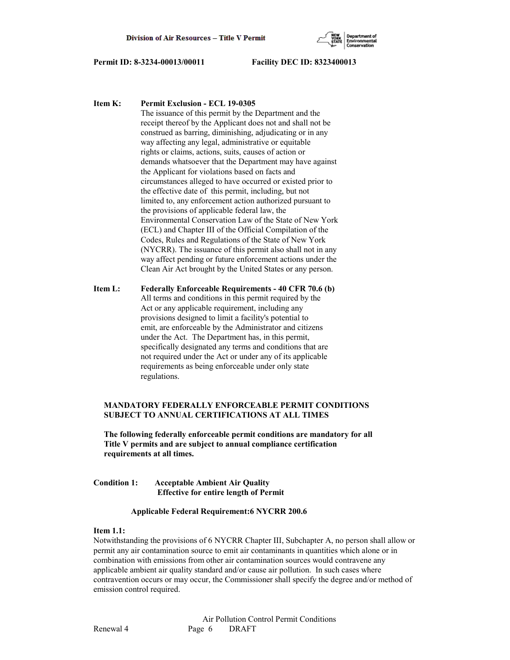

**Item K: Permit Exclusion - ECL 19-0305**

 The issuance of this permit by the Department and the receipt thereof by the Applicant does not and shall not be construed as barring, diminishing, adjudicating or in any way affecting any legal, administrative or equitable rights or claims, actions, suits, causes of action or demands whatsoever that the Department may have against the Applicant for violations based on facts and circumstances alleged to have occurred or existed prior to the effective date of this permit, including, but not limited to, any enforcement action authorized pursuant to the provisions of applicable federal law, the Environmental Conservation Law of the State of New York (ECL) and Chapter III of the Official Compilation of the Codes, Rules and Regulations of the State of New York (NYCRR). The issuance of this permit also shall not in any way affect pending or future enforcement actions under the Clean Air Act brought by the United States or any person.

**Item L: Federally Enforceable Requirements - 40 CFR 70.6 (b)** All terms and conditions in this permit required by the Act or any applicable requirement, including any provisions designed to limit a facility's potential to emit, are enforceable by the Administrator and citizens under the Act. The Department has, in this permit, specifically designated any terms and conditions that are not required under the Act or under any of its applicable requirements as being enforceable under only state regulations.

## **MANDATORY FEDERALLY ENFORCEABLE PERMIT CONDITIONS SUBJECT TO ANNUAL CERTIFICATIONS AT ALL TIMES**

 **The following federally enforceable permit conditions are mandatory for all Title V permits and are subject to annual compliance certification requirements at all times.**

## **Condition 1: Acceptable Ambient Air Quality Effective for entire length of Permit**

#### **Applicable Federal Requirement:6 NYCRR 200.6**

## **Item 1.1:**

Notwithstanding the provisions of 6 NYCRR Chapter III, Subchapter A, no person shall allow or permit any air contamination source to emit air contaminants in quantities which alone or in combination with emissions from other air contamination sources would contravene any applicable ambient air quality standard and/or cause air pollution. In such cases where contravention occurs or may occur, the Commissioner shall specify the degree and/or method of emission control required.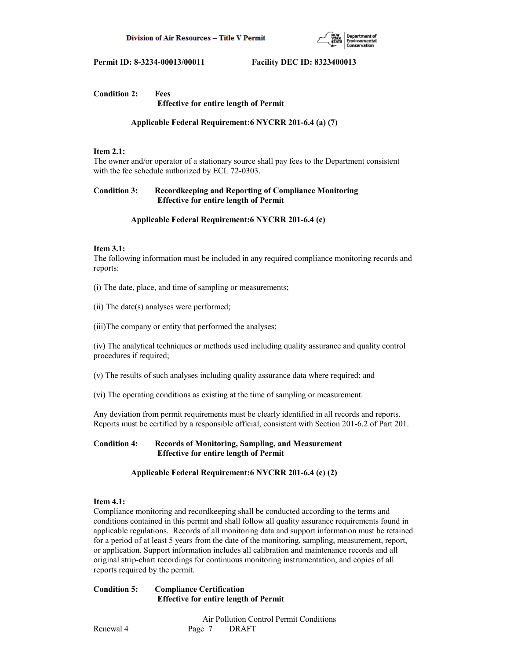

## **Condition 2: Fees Effective for entire length of Permit**

 **Applicable Federal Requirement:6 NYCRR 201-6.4 (a) (7)**

## **Item 2.1:**

The owner and/or operator of a stationary source shall pay fees to the Department consistent with the fee schedule authorized by ECL 72-0303.

## **Condition 3: Recordkeeping and Reporting of Compliance Monitoring Effective for entire length of Permit**

## **Applicable Federal Requirement:6 NYCRR 201-6.4 (c)**

## **Item 3.1:**

The following information must be included in any required compliance monitoring records and reports:

(i) The date, place, and time of sampling or measurements;

(ii) The date(s) analyses were performed;

(iii)The company or entity that performed the analyses;

(iv) The analytical techniques or methods used including quality assurance and quality control procedures if required;

(v) The results of such analyses including quality assurance data where required; and

(vi) The operating conditions as existing at the time of sampling or measurement.

Any deviation from permit requirements must be clearly identified in all records and reports. Reports must be certified by a responsible official, consistent with Section 201-6.2 of Part 201.

## **Condition 4: Records of Monitoring, Sampling, and Measurement Effective for entire length of Permit**

## **Applicable Federal Requirement:6 NYCRR 201-6.4 (c) (2)**

## **Item 4.1:**

Compliance monitoring and recordkeeping shall be conducted according to the terms and conditions contained in this permit and shall follow all quality assurance requirements found in applicable regulations. Records of all monitoring data and support information must be retained for a period of at least 5 years from the date of the monitoring, sampling, measurement, report, or application. Support information includes all calibration and maintenance records and all original strip-chart recordings for continuous monitoring instrumentation, and copies of all reports required by the permit.

**Condition 5: Compliance Certification Effective for entire length of Permit**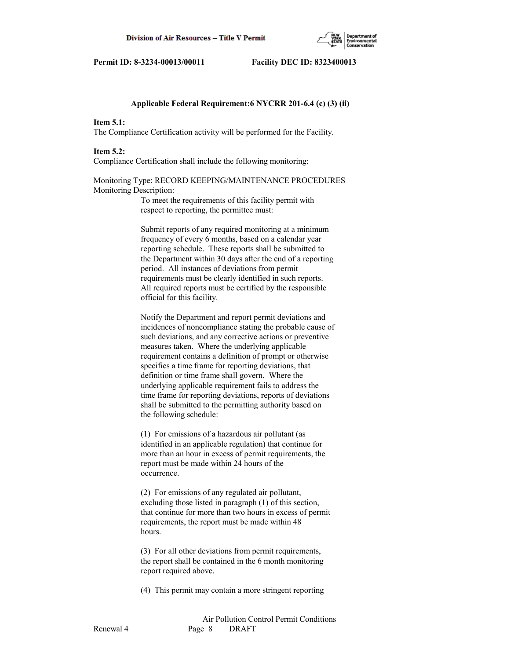

#### **Applicable Federal Requirement:6 NYCRR 201-6.4 (c) (3) (ii)**

#### **Item 5.1:**

The Compliance Certification activity will be performed for the Facility.

#### **Item 5.2:**

Compliance Certification shall include the following monitoring:

## Monitoring Type: RECORD KEEPING/MAINTENANCE PROCEDURES Monitoring Description:

 To meet the requirements of this facility permit with respect to reporting, the permittee must:

 Submit reports of any required monitoring at a minimum frequency of every 6 months, based on a calendar year reporting schedule. These reports shall be submitted to the Department within 30 days after the end of a reporting period. All instances of deviations from permit requirements must be clearly identified in such reports. All required reports must be certified by the responsible official for this facility.

 Notify the Department and report permit deviations and incidences of noncompliance stating the probable cause of such deviations, and any corrective actions or preventive measures taken. Where the underlying applicable requirement contains a definition of prompt or otherwise specifies a time frame for reporting deviations, that definition or time frame shall govern. Where the underlying applicable requirement fails to address the time frame for reporting deviations, reports of deviations shall be submitted to the permitting authority based on the following schedule:

 (1) For emissions of a hazardous air pollutant (as identified in an applicable regulation) that continue for more than an hour in excess of permit requirements, the report must be made within 24 hours of the occurrence.

 (2) For emissions of any regulated air pollutant, excluding those listed in paragraph (1) of this section, that continue for more than two hours in excess of permit requirements, the report must be made within 48 hours.

 (3) For all other deviations from permit requirements, the report shall be contained in the 6 month monitoring report required above.

(4) This permit may contain a more stringent reporting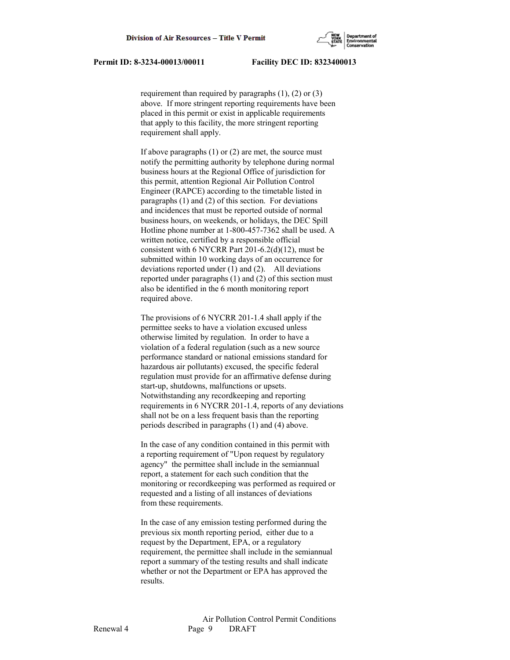

requirement than required by paragraphs  $(1)$ ,  $(2)$  or  $(3)$  above. If more stringent reporting requirements have been placed in this permit or exist in applicable requirements that apply to this facility, the more stringent reporting requirement shall apply.

If above paragraphs  $(1)$  or  $(2)$  are met, the source must notify the permitting authority by telephone during normal business hours at the Regional Office of jurisdiction for this permit, attention Regional Air Pollution Control Engineer (RAPCE) according to the timetable listed in paragraphs (1) and (2) of this section. For deviations and incidences that must be reported outside of normal business hours, on weekends, or holidays, the DEC Spill Hotline phone number at 1-800-457-7362 shall be used. A written notice, certified by a responsible official consistent with 6 NYCRR Part 201-6.2(d)(12), must be submitted within 10 working days of an occurrence for deviations reported under (1) and (2). All deviations reported under paragraphs (1) and (2) of this section must also be identified in the 6 month monitoring report required above.

 The provisions of 6 NYCRR 201-1.4 shall apply if the permittee seeks to have a violation excused unless otherwise limited by regulation. In order to have a violation of a federal regulation (such as a new source performance standard or national emissions standard for hazardous air pollutants) excused, the specific federal regulation must provide for an affirmative defense during start-up, shutdowns, malfunctions or upsets. Notwithstanding any recordkeeping and reporting requirements in 6 NYCRR 201-1.4, reports of any deviations shall not be on a less frequent basis than the reporting periods described in paragraphs (1) and (4) above.

 In the case of any condition contained in this permit with a reporting requirement of "Upon request by regulatory agency" the permittee shall include in the semiannual report, a statement for each such condition that the monitoring or recordkeeping was performed as required or requested and a listing of all instances of deviations from these requirements.

 In the case of any emission testing performed during the previous six month reporting period, either due to a request by the Department, EPA, or a regulatory requirement, the permittee shall include in the semiannual report a summary of the testing results and shall indicate whether or not the Department or EPA has approved the results.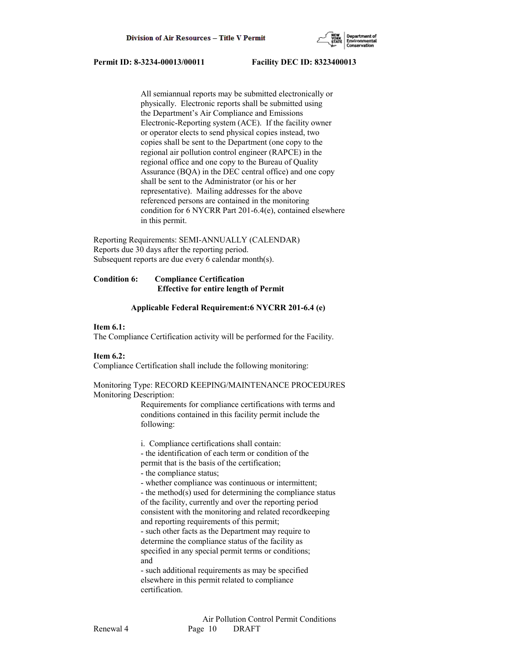

 All semiannual reports may be submitted electronically or physically. Electronic reports shall be submitted using the Department's Air Compliance and Emissions Electronic-Reporting system (ACE). If the facility owner or operator elects to send physical copies instead, two copies shall be sent to the Department (one copy to the regional air pollution control engineer (RAPCE) in the regional office and one copy to the Bureau of Quality Assurance (BQA) in the DEC central office) and one copy shall be sent to the Administrator (or his or her representative). Mailing addresses for the above referenced persons are contained in the monitoring condition for 6 NYCRR Part 201-6.4(e), contained elsewhere in this permit.

Reporting Requirements: SEMI-ANNUALLY (CALENDAR) Reports due 30 days after the reporting period. Subsequent reports are due every 6 calendar month(s).

## **Condition 6: Compliance Certification Effective for entire length of Permit**

#### **Applicable Federal Requirement:6 NYCRR 201-6.4 (e)**

#### **Item 6.1:**

The Compliance Certification activity will be performed for the Facility.

## **Item 6.2:**

Compliance Certification shall include the following monitoring:

## Monitoring Type: RECORD KEEPING/MAINTENANCE PROCEDURES Monitoring Description:

 Requirements for compliance certifications with terms and conditions contained in this facility permit include the following:

 i. Compliance certifications shall contain: - the identification of each term or condition of the

- permit that is the basis of the certification;
- the compliance status;

- whether compliance was continuous or intermittent;

 - the method(s) used for determining the compliance status of the facility, currently and over the reporting period consistent with the monitoring and related recordkeeping and reporting requirements of this permit;

 - such other facts as the Department may require to determine the compliance status of the facility as specified in any special permit terms or conditions; and

 - such additional requirements as may be specified elsewhere in this permit related to compliance certification.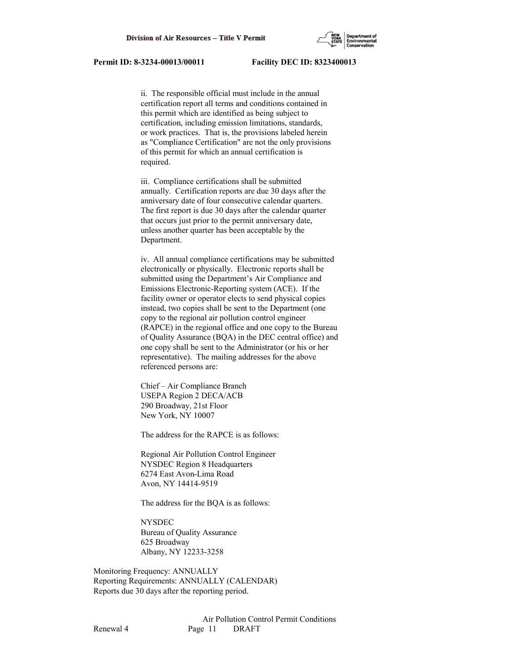

 ii. The responsible official must include in the annual certification report all terms and conditions contained in this permit which are identified as being subject to certification, including emission limitations, standards, or work practices. That is, the provisions labeled herein as "Compliance Certification" are not the only provisions of this permit for which an annual certification is required.

 iii. Compliance certifications shall be submitted annually. Certification reports are due 30 days after the anniversary date of four consecutive calendar quarters. The first report is due 30 days after the calendar quarter that occurs just prior to the permit anniversary date, unless another quarter has been acceptable by the Department.

 iv. All annual compliance certifications may be submitted electronically or physically. Electronic reports shall be submitted using the Department's Air Compliance and Emissions Electronic-Reporting system (ACE). If the facility owner or operator elects to send physical copies instead, two copies shall be sent to the Department (one copy to the regional air pollution control engineer (RAPCE) in the regional office and one copy to the Bureau of Quality Assurance (BQA) in the DEC central office) and one copy shall be sent to the Administrator (or his or her representative). The mailing addresses for the above referenced persons are:

 Chief – Air Compliance Branch USEPA Region 2 DECA/ACB 290 Broadway, 21st Floor New York, NY 10007

The address for the RAPCE is as follows:

 Regional Air Pollution Control Engineer NYSDEC Region 8 Headquarters 6274 East Avon-Lima Road Avon, NY 14414-9519

The address for the BQA is as follows:

 NYSDEC Bureau of Quality Assurance 625 Broadway Albany, NY 12233-3258

Monitoring Frequency: ANNUALLY Reporting Requirements: ANNUALLY (CALENDAR) Reports due 30 days after the reporting period.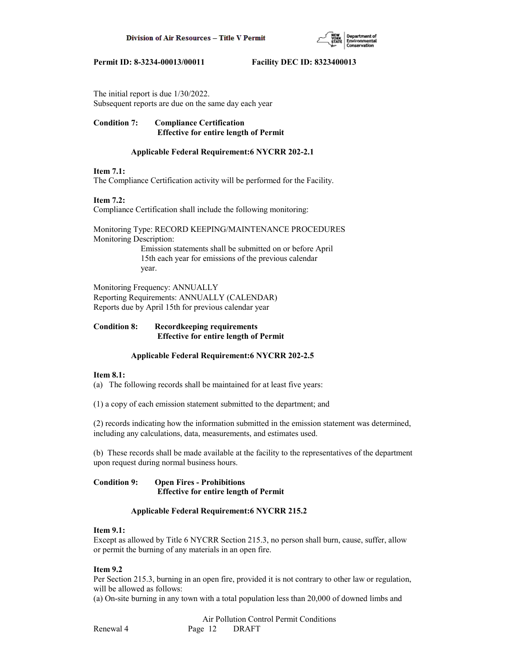

The initial report is due 1/30/2022. Subsequent reports are due on the same day each year

## **Condition 7: Compliance Certification Effective for entire length of Permit**

## **Applicable Federal Requirement:6 NYCRR 202-2.1**

## **Item 7.1:**

The Compliance Certification activity will be performed for the Facility.

## **Item 7.2:**

Compliance Certification shall include the following monitoring:

Monitoring Type: RECORD KEEPING/MAINTENANCE PROCEDURES Monitoring Description: Emission statements shall be submitted on or before April 15th each year for emissions of the previous calendar year.

Monitoring Frequency: ANNUALLY Reporting Requirements: ANNUALLY (CALENDAR) Reports due by April 15th for previous calendar year

## **Condition 8: Recordkeeping requirements Effective for entire length of Permit**

## **Applicable Federal Requirement:6 NYCRR 202-2.5**

## **Item 8.1:**

(a) The following records shall be maintained for at least five years:

(1) a copy of each emission statement submitted to the department; and

(2) records indicating how the information submitted in the emission statement was determined, including any calculations, data, measurements, and estimates used.

(b) These records shall be made available at the facility to the representatives of the department upon request during normal business hours.

## **Condition 9: Open Fires - Prohibitions Effective for entire length of Permit**

## **Applicable Federal Requirement:6 NYCRR 215.2**

## **Item 9.1:**

Except as allowed by Title 6 NYCRR Section 215.3, no person shall burn, cause, suffer, allow or permit the burning of any materials in an open fire.

## **Item 9.2**

Per Section 215.3, burning in an open fire, provided it is not contrary to other law or regulation, will be allowed as follows:

(a) On-site burning in any town with a total population less than 20,000 of downed limbs and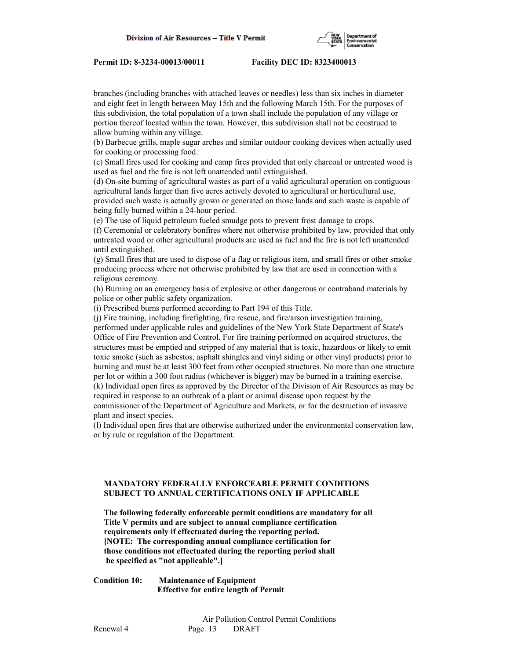

branches (including branches with attached leaves or needles) less than six inches in diameter and eight feet in length between May 15th and the following March 15th. For the purposes of this subdivision, the total population of a town shall include the population of any village or portion thereof located within the town. However, this subdivision shall not be construed to allow burning within any village.

(b) Barbecue grills, maple sugar arches and similar outdoor cooking devices when actually used for cooking or processing food.

(c) Small fires used for cooking and camp fires provided that only charcoal or untreated wood is used as fuel and the fire is not left unattended until extinguished.

(d) On-site burning of agricultural wastes as part of a valid agricultural operation on contiguous agricultural lands larger than five acres actively devoted to agricultural or horticultural use, provided such waste is actually grown or generated on those lands and such waste is capable of being fully burned within a 24-hour period.

(e) The use of liquid petroleum fueled smudge pots to prevent frost damage to crops.

(f) Ceremonial or celebratory bonfires where not otherwise prohibited by law, provided that only untreated wood or other agricultural products are used as fuel and the fire is not left unattended until extinguished.

(g) Small fires that are used to dispose of a flag or religious item, and small fires or other smoke producing process where not otherwise prohibited by law that are used in connection with a religious ceremony.

(h) Burning on an emergency basis of explosive or other dangerous or contraband materials by police or other public safety organization.

(i) Prescribed burns performed according to Part 194 of this Title.

(j) Fire training, including firefighting, fire rescue, and fire/arson investigation training, performed under applicable rules and guidelines of the New York State Department of State's Office of Fire Prevention and Control. For fire training performed on acquired structures, the structures must be emptied and stripped of any material that is toxic, hazardous or likely to emit toxic smoke (such as asbestos, asphalt shingles and vinyl siding or other vinyl products) prior to burning and must be at least 300 feet from other occupied structures. No more than one structure per lot or within a 300 foot radius (whichever is bigger) may be burned in a training exercise. (k) Individual open fires as approved by the Director of the Division of Air Resources as may be required in response to an outbreak of a plant or animal disease upon request by the commissioner of the Department of Agriculture and Markets, or for the destruction of invasive

plant and insect species.

(l) Individual open fires that are otherwise authorized under the environmental conservation law, or by rule or regulation of the Department.

## **MANDATORY FEDERALLY ENFORCEABLE PERMIT CONDITIONS SUBJECT TO ANNUAL CERTIFICATIONS ONLY IF APPLICABLE**

 **The following federally enforceable permit conditions are mandatory for all Title V permits and are subject to annual compliance certification requirements only if effectuated during the reporting period. [NOTE: The corresponding annual compliance certification for those conditions not effectuated during the reporting period shall be specified as "not applicable".]**

**Condition 10: Maintenance of Equipment Effective for entire length of Permit**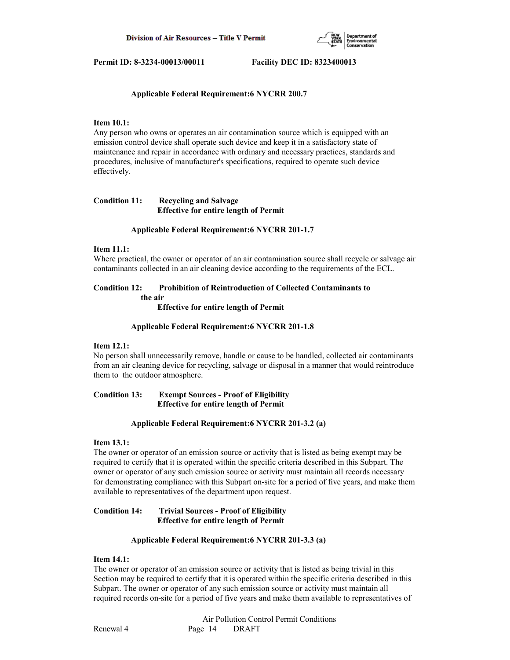

## **Applicable Federal Requirement:6 NYCRR 200.7**

## **Item 10.1:**

Any person who owns or operates an air contamination source which is equipped with an emission control device shall operate such device and keep it in a satisfactory state of maintenance and repair in accordance with ordinary and necessary practices, standards and procedures, inclusive of manufacturer's specifications, required to operate such device effectively.

## **Condition 11: Recycling and Salvage Effective for entire length of Permit**

#### **Applicable Federal Requirement:6 NYCRR 201-1.7**

#### **Item 11.1:**

Where practical, the owner or operator of an air contamination source shall recycle or salvage air contaminants collected in an air cleaning device according to the requirements of the ECL.

## **Condition 12: Prohibition of Reintroduction of Collected Contaminants to the air**

 **Effective for entire length of Permit**

#### **Applicable Federal Requirement:6 NYCRR 201-1.8**

## **Item 12.1:**

No person shall unnecessarily remove, handle or cause to be handled, collected air contaminants from an air cleaning device for recycling, salvage or disposal in a manner that would reintroduce them to the outdoor atmosphere.

## **Condition 13: Exempt Sources - Proof of Eligibility Effective for entire length of Permit**

#### **Applicable Federal Requirement:6 NYCRR 201-3.2 (a)**

#### **Item 13.1:**

The owner or operator of an emission source or activity that is listed as being exempt may be required to certify that it is operated within the specific criteria described in this Subpart. The owner or operator of any such emission source or activity must maintain all records necessary for demonstrating compliance with this Subpart on-site for a period of five years, and make them available to representatives of the department upon request.

## **Condition 14: Trivial Sources - Proof of Eligibility Effective for entire length of Permit**

## **Applicable Federal Requirement:6 NYCRR 201-3.3 (a)**

#### **Item 14.1:**

The owner or operator of an emission source or activity that is listed as being trivial in this Section may be required to certify that it is operated within the specific criteria described in this Subpart. The owner or operator of any such emission source or activity must maintain all required records on-site for a period of five years and make them available to representatives of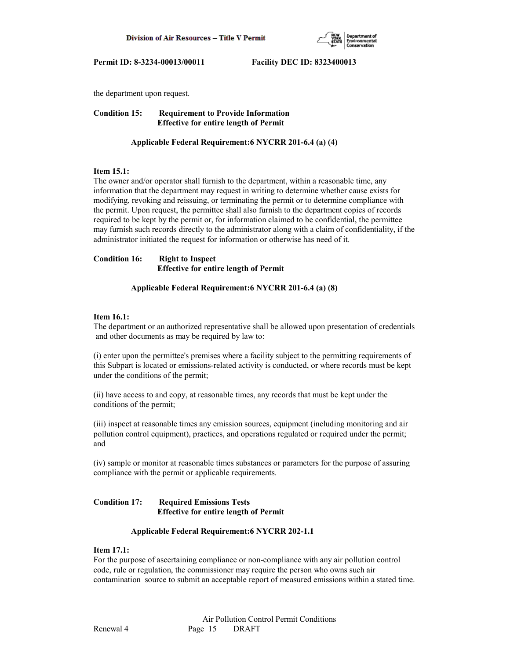

the department upon request.

**Condition 15: Requirement to Provide Information Effective for entire length of Permit**

## **Applicable Federal Requirement:6 NYCRR 201-6.4 (a) (4)**

## **Item 15.1:**

The owner and/or operator shall furnish to the department, within a reasonable time, any information that the department may request in writing to determine whether cause exists for modifying, revoking and reissuing, or terminating the permit or to determine compliance with the permit. Upon request, the permittee shall also furnish to the department copies of records required to be kept by the permit or, for information claimed to be confidential, the permittee may furnish such records directly to the administrator along with a claim of confidentiality, if the administrator initiated the request for information or otherwise has need of it.

**Condition 16: Right to Inspect Effective for entire length of Permit**

## **Applicable Federal Requirement:6 NYCRR 201-6.4 (a) (8)**

## **Item 16.1:**

The department or an authorized representative shall be allowed upon presentation of credentials and other documents as may be required by law to:

(i) enter upon the permittee's premises where a facility subject to the permitting requirements of this Subpart is located or emissions-related activity is conducted, or where records must be kept under the conditions of the permit;

(ii) have access to and copy, at reasonable times, any records that must be kept under the conditions of the permit;

(iii) inspect at reasonable times any emission sources, equipment (including monitoring and air pollution control equipment), practices, and operations regulated or required under the permit; and

(iv) sample or monitor at reasonable times substances or parameters for the purpose of assuring compliance with the permit or applicable requirements.

## **Condition 17: Required Emissions Tests Effective for entire length of Permit**

## **Applicable Federal Requirement:6 NYCRR 202-1.1**

## **Item 17.1:**

For the purpose of ascertaining compliance or non-compliance with any air pollution control code, rule or regulation, the commissioner may require the person who owns such air contamination source to submit an acceptable report of measured emissions within a stated time.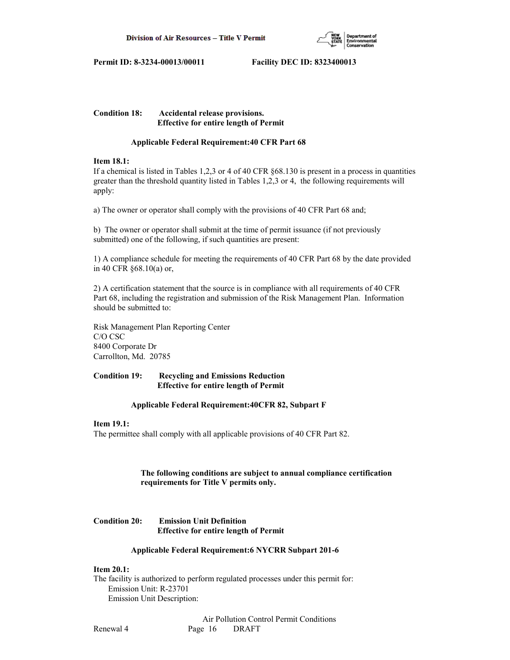

**Condition 18: Accidental release provisions. Effective for entire length of Permit**

## **Applicable Federal Requirement:40 CFR Part 68**

## **Item 18.1:**

If a chemical is listed in Tables 1,2,3 or 4 of 40 CFR §68.130 is present in a process in quantities greater than the threshold quantity listed in Tables 1,2,3 or 4, the following requirements will apply:

a) The owner or operator shall comply with the provisions of 40 CFR Part 68 and;

b) The owner or operator shall submit at the time of permit issuance (if not previously submitted) one of the following, if such quantities are present:

1) A compliance schedule for meeting the requirements of 40 CFR Part 68 by the date provided in 40 CFR §68.10(a) or,

2) A certification statement that the source is in compliance with all requirements of 40 CFR Part 68, including the registration and submission of the Risk Management Plan. Information should be submitted to:

Risk Management Plan Reporting Center C/O CSC 8400 Corporate Dr Carrollton, Md. 20785

## **Condition 19: Recycling and Emissions Reduction Effective for entire length of Permit**

## **Applicable Federal Requirement:40CFR 82, Subpart F**

## **Item 19.1:**

The permittee shall comply with all applicable provisions of 40 CFR Part 82.

## **The following conditions are subject to annual compliance certification requirements for Title V permits only.**

## **Condition 20: Emission Unit Definition Effective for entire length of Permit**

## **Applicable Federal Requirement:6 NYCRR Subpart 201-6**

## **Item 20.1:**

The facility is authorized to perform regulated processes under this permit for: Emission Unit: R-23701 Emission Unit Description: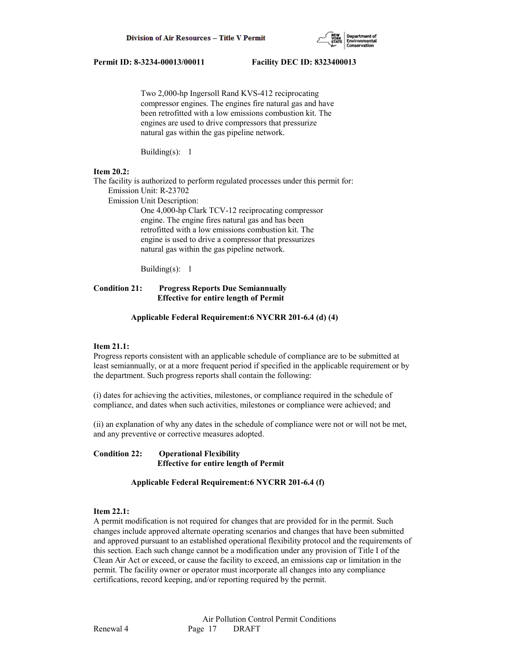

 Two 2,000-hp Ingersoll Rand KVS-412 reciprocating compressor engines. The engines fire natural gas and have been retrofitted with a low emissions combustion kit. The engines are used to drive compressors that pressurize natural gas within the gas pipeline network.

Building(s): 1

## **Item 20.2:**

The facility is authorized to perform regulated processes under this permit for:

Emission Unit: R-23702

Emission Unit Description:

 One 4,000-hp Clark TCV-12 reciprocating compressor engine. The engine fires natural gas and has been retrofitted with a low emissions combustion kit. The engine is used to drive a compressor that pressurizes natural gas within the gas pipeline network.

Building(s): 1

## **Condition 21: Progress Reports Due Semiannually Effective for entire length of Permit**

## **Applicable Federal Requirement:6 NYCRR 201-6.4 (d) (4)**

## **Item 21.1:**

Progress reports consistent with an applicable schedule of compliance are to be submitted at least semiannually, or at a more frequent period if specified in the applicable requirement or by the department. Such progress reports shall contain the following:

(i) dates for achieving the activities, milestones, or compliance required in the schedule of compliance, and dates when such activities, milestones or compliance were achieved; and

(ii) an explanation of why any dates in the schedule of compliance were not or will not be met, and any preventive or corrective measures adopted.

**Condition 22: Operational Flexibility Effective for entire length of Permit**

 **Applicable Federal Requirement:6 NYCRR 201-6.4 (f)**

## **Item 22.1:**

A permit modification is not required for changes that are provided for in the permit. Such changes include approved alternate operating scenarios and changes that have been submitted and approved pursuant to an established operational flexibility protocol and the requirements of this section. Each such change cannot be a modification under any provision of Title I of the Clean Air Act or exceed, or cause the facility to exceed, an emissions cap or limitation in the permit. The facility owner or operator must incorporate all changes into any compliance certifications, record keeping, and/or reporting required by the permit.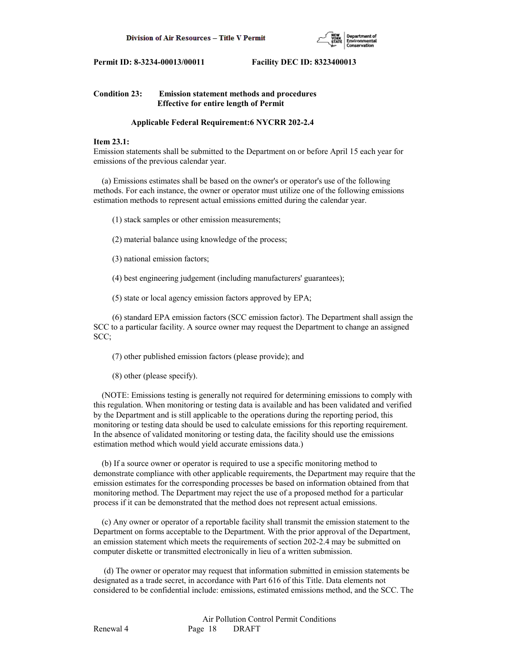

## **Condition 23: Emission statement methods and procedures Effective for entire length of Permit**

#### **Applicable Federal Requirement:6 NYCRR 202-2.4**

## **Item 23.1:**

Emission statements shall be submitted to the Department on or before April 15 each year for emissions of the previous calendar year.

 (a) Emissions estimates shall be based on the owner's or operator's use of the following methods. For each instance, the owner or operator must utilize one of the following emissions estimation methods to represent actual emissions emitted during the calendar year.

- (1) stack samples or other emission measurements;
- (2) material balance using knowledge of the process;
- (3) national emission factors;
- (4) best engineering judgement (including manufacturers' guarantees);
- (5) state or local agency emission factors approved by EPA;

 (6) standard EPA emission factors (SCC emission factor). The Department shall assign the SCC to a particular facility. A source owner may request the Department to change an assigned SCC;

(7) other published emission factors (please provide); and

(8) other (please specify).

 (NOTE: Emissions testing is generally not required for determining emissions to comply with this regulation. When monitoring or testing data is available and has been validated and verified by the Department and is still applicable to the operations during the reporting period, this monitoring or testing data should be used to calculate emissions for this reporting requirement. In the absence of validated monitoring or testing data, the facility should use the emissions estimation method which would yield accurate emissions data.)

 (b) If a source owner or operator is required to use a specific monitoring method to demonstrate compliance with other applicable requirements, the Department may require that the emission estimates for the corresponding processes be based on information obtained from that monitoring method. The Department may reject the use of a proposed method for a particular process if it can be demonstrated that the method does not represent actual emissions.

 (c) Any owner or operator of a reportable facility shall transmit the emission statement to the Department on forms acceptable to the Department. With the prior approval of the Department, an emission statement which meets the requirements of section 202-2.4 may be submitted on computer diskette or transmitted electronically in lieu of a written submission.

 (d) The owner or operator may request that information submitted in emission statements be designated as a trade secret, in accordance with Part 616 of this Title. Data elements not considered to be confidential include: emissions, estimated emissions method, and the SCC. The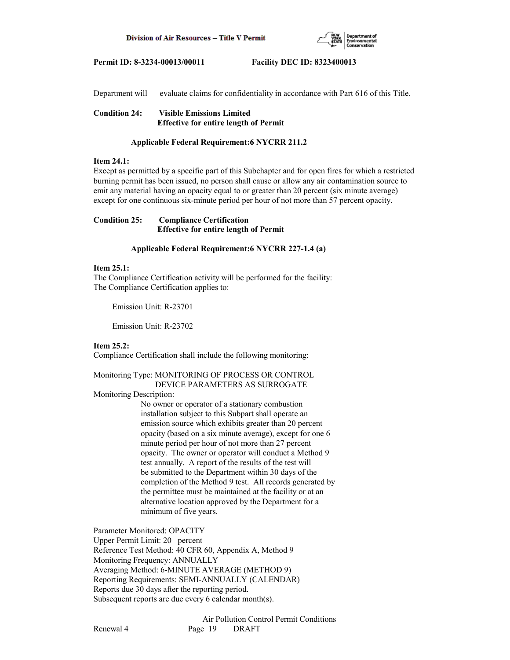

Department will evaluate claims for confidentiality in accordance with Part 616 of this Title.

**Condition 24: Visible Emissions Limited Effective for entire length of Permit**

#### **Applicable Federal Requirement:6 NYCRR 211.2**

#### **Item 24.1:**

Except as permitted by a specific part of this Subchapter and for open fires for which a restricted burning permit has been issued, no person shall cause or allow any air contamination source to emit any material having an opacity equal to or greater than 20 percent (six minute average) except for one continuous six-minute period per hour of not more than 57 percent opacity.

## **Condition 25: Compliance Certification Effective for entire length of Permit**

#### **Applicable Federal Requirement:6 NYCRR 227-1.4 (a)**

#### **Item 25.1:**

The Compliance Certification activity will be performed for the facility: The Compliance Certification applies to:

Emission Unit: R-23701

Emission Unit: R-23702

## **Item 25.2:**

Compliance Certification shall include the following monitoring:

## Monitoring Type: MONITORING OF PROCESS OR CONTROL DEVICE PARAMETERS AS SURROGATE

Monitoring Description:

 No owner or operator of a stationary combustion installation subject to this Subpart shall operate an emission source which exhibits greater than 20 percent opacity (based on a six minute average), except for one 6 minute period per hour of not more than 27 percent opacity. The owner or operator will conduct a Method 9 test annually. A report of the results of the test will be submitted to the Department within 30 days of the completion of the Method 9 test. All records generated by the permittee must be maintained at the facility or at an alternative location approved by the Department for a minimum of five years.

Parameter Monitored: OPACITY

Upper Permit Limit: 20 percent Reference Test Method: 40 CFR 60, Appendix A, Method 9 Monitoring Frequency: ANNUALLY Averaging Method: 6-MINUTE AVERAGE (METHOD 9) Reporting Requirements: SEMI-ANNUALLY (CALENDAR) Reports due 30 days after the reporting period. Subsequent reports are due every 6 calendar month(s).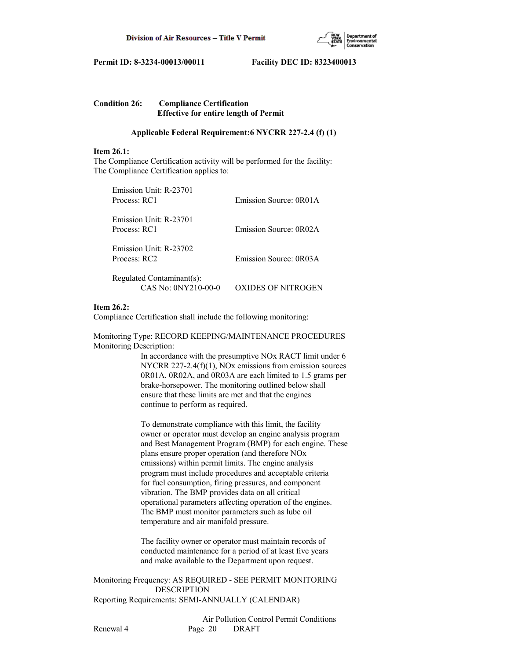

| <b>Condition 26:</b> | <b>Compliance Certification</b>              |
|----------------------|----------------------------------------------|
|                      | <b>Effective for entire length of Permit</b> |

## **Applicable Federal Requirement:6 NYCRR 227-2.4 (f) (1)**

#### **Item 26.1:**

The Compliance Certification activity will be performed for the facility: The Compliance Certification applies to:

| Emission Unit: R-23701<br>Process: RC1           | Emission Source: 0R01A |
|--------------------------------------------------|------------------------|
| Emission Unit: R-23701<br>Process: RC1           | Emission Source: 0R02A |
| Emission Unit: R-23702<br>Process: RC2           | Emission Source: 0R03A |
| Regulated Contaminant(s):<br>CAS No: 0NY210-00-0 | XIDES OF NITROGI       |

## **Item 26.2:**

Compliance Certification shall include the following monitoring:

Monitoring Type: RECORD KEEPING/MAINTENANCE PROCEDURES Monitoring Description:

> In accordance with the presumptive NOx RACT limit under 6 NYCRR 227-2.4(f)(1), NOx emissions from emission sources 0R01A, 0R02A, and 0R03A are each limited to 1.5 grams per brake-horsepower. The monitoring outlined below shall ensure that these limits are met and that the engines continue to perform as required.

> To demonstrate compliance with this limit, the facility owner or operator must develop an engine analysis program and Best Management Program (BMP) for each engine. These plans ensure proper operation (and therefore NOx emissions) within permit limits. The engine analysis program must include procedures and acceptable criteria for fuel consumption, firing pressures, and component vibration. The BMP provides data on all critical operational parameters affecting operation of the engines. The BMP must monitor parameters such as lube oil temperature and air manifold pressure.

 The facility owner or operator must maintain records of conducted maintenance for a period of at least five years and make available to the Department upon request.

Monitoring Frequency: AS REQUIRED - SEE PERMIT MONITORING DESCRIPTION Reporting Requirements: SEMI-ANNUALLY (CALENDAR)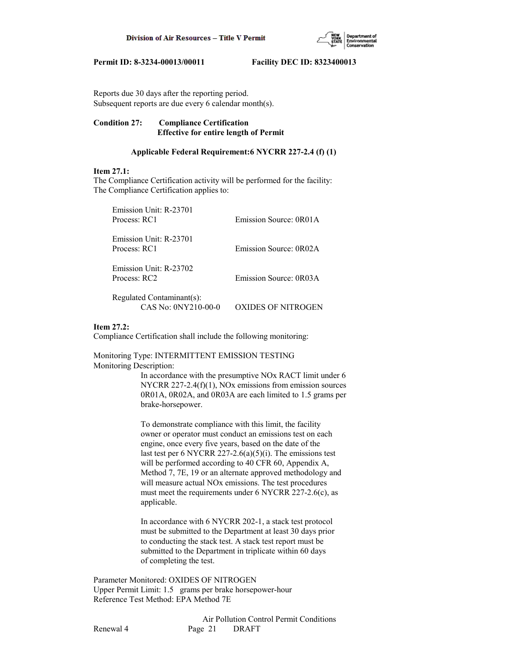

Reports due 30 days after the reporting period. Subsequent reports are due every 6 calendar month(s).

## **Condition 27: Compliance Certification Effective for entire length of Permit**

## **Applicable Federal Requirement:6 NYCRR 227-2.4 (f) (1)**

## **Item 27.1:**

The Compliance Certification activity will be performed for the facility: The Compliance Certification applies to:

| Emission Unit: R-23701<br>Process: RC1   | Emission Source: 0R01A |
|------------------------------------------|------------------------|
| Emission Unit: R-23701<br>Process: RC1   | Emission Source: 0R02A |
| Emission Unit: R-23702<br>Process: $RC2$ | Emission Source: 0R03A |
| Regulated Contaminant(s):                |                        |

# CAS No: 0NY210-00-0 OXIDES OF NITROGEN

## **Item 27.2:**

Compliance Certification shall include the following monitoring:

Monitoring Type: INTERMITTENT EMISSION TESTING Monitoring Description:

> In accordance with the presumptive NOx RACT limit under 6 NYCRR 227-2.4(f)(1), NOx emissions from emission sources 0R01A, 0R02A, and 0R03A are each limited to 1.5 grams per brake-horsepower.

 To demonstrate compliance with this limit, the facility owner or operator must conduct an emissions test on each engine, once every five years, based on the date of the last test per 6 NYCRR 227-2.6(a)(5)(i). The emissions test will be performed according to 40 CFR 60, Appendix A, Method 7, 7E, 19 or an alternate approved methodology and will measure actual NOx emissions. The test procedures must meet the requirements under 6 NYCRR 227-2.6(c), as applicable.

 In accordance with 6 NYCRR 202-1, a stack test protocol must be submitted to the Department at least 30 days prior to conducting the stack test. A stack test report must be submitted to the Department in triplicate within 60 days of completing the test.

Parameter Monitored: OXIDES OF NITROGEN Upper Permit Limit: 1.5 grams per brake horsepower-hour Reference Test Method: EPA Method 7E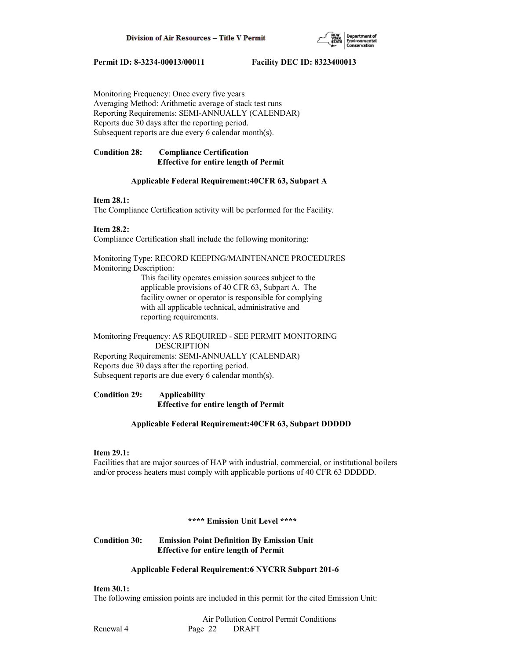

Monitoring Frequency: Once every five years Averaging Method: Arithmetic average of stack test runs Reporting Requirements: SEMI-ANNUALLY (CALENDAR) Reports due 30 days after the reporting period. Subsequent reports are due every 6 calendar month(s).

## **Condition 28: Compliance Certification Effective for entire length of Permit**

## **Applicable Federal Requirement:40CFR 63, Subpart A**

## **Item 28.1:**

The Compliance Certification activity will be performed for the Facility.

## **Item 28.2:**

Compliance Certification shall include the following monitoring:

Monitoring Type: RECORD KEEPING/MAINTENANCE PROCEDURES Monitoring Description:

> This facility operates emission sources subject to the applicable provisions of 40 CFR 63, Subpart A. The facility owner or operator is responsible for complying with all applicable technical, administrative and reporting requirements.

Monitoring Frequency: AS REQUIRED - SEE PERMIT MONITORING DESCRIPTION

Reporting Requirements: SEMI-ANNUALLY (CALENDAR) Reports due 30 days after the reporting period. Subsequent reports are due every 6 calendar month(s).

**Condition 29: Applicability Effective for entire length of Permit**

## **Applicable Federal Requirement:40CFR 63, Subpart DDDDD**

## **Item 29.1:**

Facilities that are major sources of HAP with industrial, commercial, or institutional boilers and/or process heaters must comply with applicable portions of 40 CFR 63 DDDDD.

## **\*\*\*\* Emission Unit Level \*\*\*\***

## **Condition 30: Emission Point Definition By Emission Unit Effective for entire length of Permit**

## **Applicable Federal Requirement:6 NYCRR Subpart 201-6**

## **Item 30.1:**

The following emission points are included in this permit for the cited Emission Unit: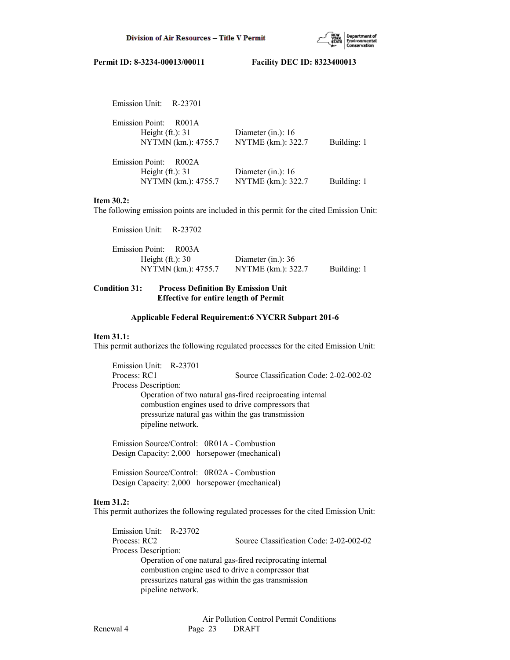

| Emission Unit: R-23701                                                        |                                            |             |
|-------------------------------------------------------------------------------|--------------------------------------------|-------------|
| <b>Emission Point:</b><br>R001A<br>Height $(ft.)$ : 31<br>NYTMN (km.): 4755.7 | Diameter (in.): $16$<br>NYTME (km.): 322.7 | Building: 1 |
| <b>Emission Point:</b><br>R002A<br>Height $(ft.): 31$<br>NYTMN (km.): 4755.7  | Diameter (in.): $16$<br>NYTME (km.): 322.7 | Building: 1 |

## **Item 30.2:**

The following emission points are included in this permit for the cited Emission Unit:

| Emission Unit: R-23702 |                      |             |
|------------------------|----------------------|-------------|
| Emission Point: R003A  |                      |             |
| Height $(ft.): 30$     | Diameter (in.): $36$ |             |
| NYTMN (km.): 4755.7    | NYTME (km.): 322.7   | Building: 1 |
|                        |                      |             |

## **Condition 31: Process Definition By Emission Unit Effective for entire length of Permit**

## **Applicable Federal Requirement:6 NYCRR Subpart 201-6**

#### **Item 31.1:**

This permit authorizes the following regulated processes for the cited Emission Unit:

 Emission Unit: R-23701 Process: RC1 Source Classification Code: 2-02-002-02 Process Description: Operation of two natural gas-fired reciprocating internal combustion engines used to drive compressors that pressurize natural gas within the gas transmission pipeline network.

 Emission Source/Control: 0R01A - Combustion Design Capacity: 2,000 horsepower (mechanical)

 Emission Source/Control: 0R02A - Combustion Design Capacity: 2,000 horsepower (mechanical)

#### **Item 31.2:**

This permit authorizes the following regulated processes for the cited Emission Unit:

 Emission Unit: R-23702 Process: RC2 Source Classification Code: 2-02-002-02 Process Description: Operation of one natural gas-fired reciprocating internal combustion engine used to drive a compressor that pressurizes natural gas within the gas transmission pipeline network.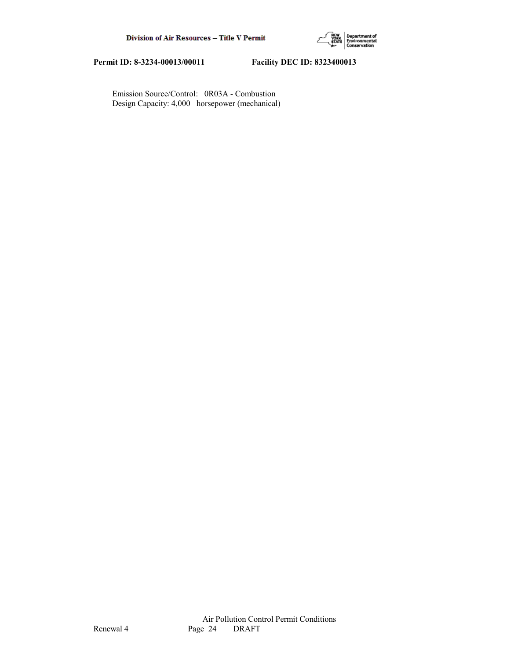

 Emission Source/Control: 0R03A - Combustion Design Capacity: 4,000 horsepower (mechanical)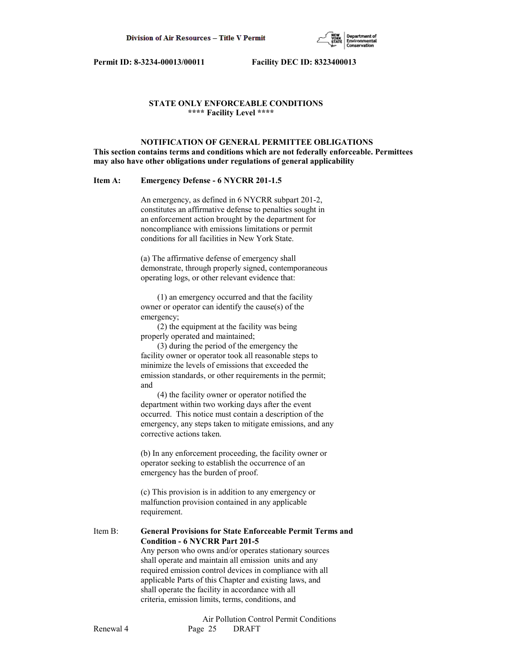

## **STATE ONLY ENFORCEABLE CONDITIONS \*\*\*\* Facility Level \*\*\*\***

 **NOTIFICATION OF GENERAL PERMITTEE OBLIGATIONS This section contains terms and conditions which are not federally enforceable. Permittees may also have other obligations under regulations of general applicability**

#### **Item A: Emergency Defense - 6 NYCRR 201-1.5**

 An emergency, as defined in 6 NYCRR subpart 201-2, constitutes an affirmative defense to penalties sought in an enforcement action brought by the department for noncompliance with emissions limitations or permit conditions for all facilities in New York State.

 (a) The affirmative defense of emergency shall demonstrate, through properly signed, contemporaneous operating logs, or other relevant evidence that:

 (1) an emergency occurred and that the facility owner or operator can identify the cause(s) of the emergency;

 (2) the equipment at the facility was being properly operated and maintained;

 (3) during the period of the emergency the facility owner or operator took all reasonable steps to minimize the levels of emissions that exceeded the emission standards, or other requirements in the permit; and

 (4) the facility owner or operator notified the department within two working days after the event occurred. This notice must contain a description of the emergency, any steps taken to mitigate emissions, and any corrective actions taken.

 (b) In any enforcement proceeding, the facility owner or operator seeking to establish the occurrence of an emergency has the burden of proof.

 (c) This provision is in addition to any emergency or malfunction provision contained in any applicable requirement.

## Item B: **General Provisions for State Enforceable Permit Terms and Condition - 6 NYCRR Part 201-5**

 Any person who owns and/or operates stationary sources shall operate and maintain all emission units and any required emission control devices in compliance with all applicable Parts of this Chapter and existing laws, and shall operate the facility in accordance with all criteria, emission limits, terms, conditions, and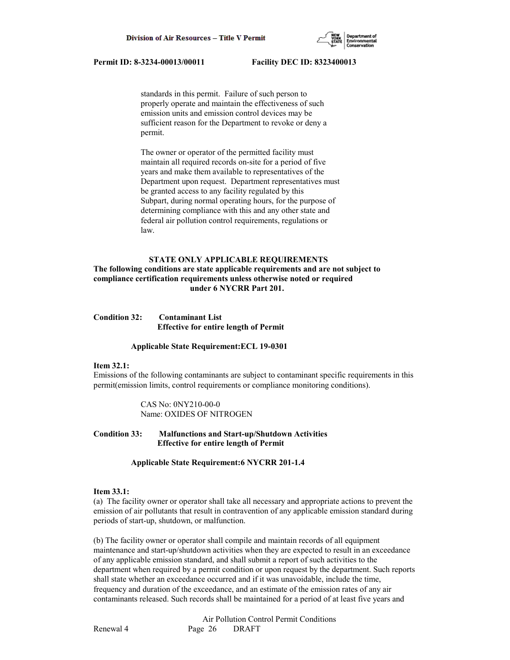

 standards in this permit. Failure of such person to properly operate and maintain the effectiveness of such emission units and emission control devices may be sufficient reason for the Department to revoke or deny a permit.

 The owner or operator of the permitted facility must maintain all required records on-site for a period of five years and make them available to representatives of the Department upon request. Department representatives must be granted access to any facility regulated by this Subpart, during normal operating hours, for the purpose of determining compliance with this and any other state and federal air pollution control requirements, regulations or law.

#### **STATE ONLY APPLICABLE REQUIREMENTS**

## **The following conditions are state applicable requirements and are not subject to compliance certification requirements unless otherwise noted or required under 6 NYCRR Part 201.**

| <b>Condition 32:</b> | <b>Contaminant List</b>                      |
|----------------------|----------------------------------------------|
|                      | <b>Effective for entire length of Permit</b> |

#### **Applicable State Requirement:ECL 19-0301**

#### **Item 32.1:**

Emissions of the following contaminants are subject to contaminant specific requirements in this permit(emission limits, control requirements or compliance monitoring conditions).

> CAS No: 0NY210-00-0 Name: OXIDES OF NITROGEN

## **Condition 33: Malfunctions and Start-up/Shutdown Activities Effective for entire length of Permit**

#### **Applicable State Requirement:6 NYCRR 201-1.4**

#### **Item 33.1:**

(a) The facility owner or operator shall take all necessary and appropriate actions to prevent the emission of air pollutants that result in contravention of any applicable emission standard during periods of start-up, shutdown, or malfunction.

(b) The facility owner or operator shall compile and maintain records of all equipment maintenance and start-up/shutdown activities when they are expected to result in an exceedance of any applicable emission standard, and shall submit a report of such activities to the department when required by a permit condition or upon request by the department. Such reports shall state whether an exceedance occurred and if it was unavoidable, include the time, frequency and duration of the exceedance, and an estimate of the emission rates of any air contaminants released. Such records shall be maintained for a period of at least five years and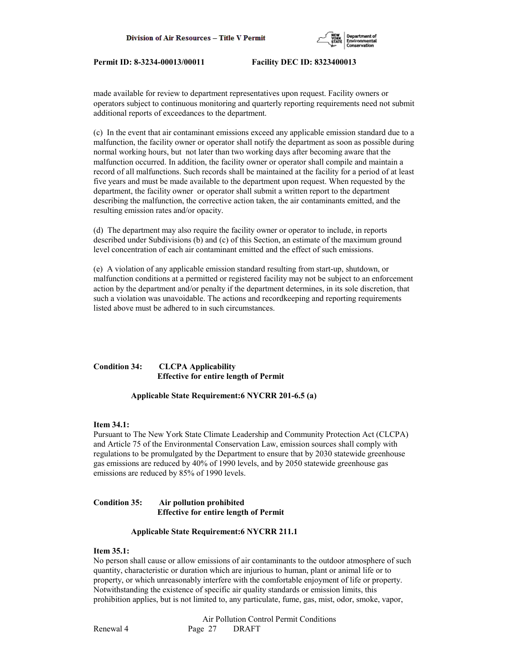

made available for review to department representatives upon request. Facility owners or operators subject to continuous monitoring and quarterly reporting requirements need not submit additional reports of exceedances to the department.

(c) In the event that air contaminant emissions exceed any applicable emission standard due to a malfunction, the facility owner or operator shall notify the department as soon as possible during normal working hours, but not later than two working days after becoming aware that the malfunction occurred. In addition, the facility owner or operator shall compile and maintain a record of all malfunctions. Such records shall be maintained at the facility for a period of at least five years and must be made available to the department upon request. When requested by the department, the facility owner or operator shall submit a written report to the department describing the malfunction, the corrective action taken, the air contaminants emitted, and the resulting emission rates and/or opacity.

(d) The department may also require the facility owner or operator to include, in reports described under Subdivisions (b) and (c) of this Section, an estimate of the maximum ground level concentration of each air contaminant emitted and the effect of such emissions.

(e) A violation of any applicable emission standard resulting from start-up, shutdown, or malfunction conditions at a permitted or registered facility may not be subject to an enforcement action by the department and/or penalty if the department determines, in its sole discretion, that such a violation was unavoidable. The actions and recordkeeping and reporting requirements listed above must be adhered to in such circumstances.

## **Condition 34: CLCPA Applicability Effective for entire length of Permit**

## **Applicable State Requirement:6 NYCRR 201-6.5 (a)**

#### **Item 34.1:**

Pursuant to The New York State Climate Leadership and Community Protection Act (CLCPA) and Article 75 of the Environmental Conservation Law, emission sources shall comply with regulations to be promulgated by the Department to ensure that by 2030 statewide greenhouse gas emissions are reduced by 40% of 1990 levels, and by 2050 statewide greenhouse gas emissions are reduced by 85% of 1990 levels.

#### **Condition 35: Air pollution prohibited Effective for entire length of Permit**

#### **Applicable State Requirement:6 NYCRR 211.1**

## **Item 35.1:**

No person shall cause or allow emissions of air contaminants to the outdoor atmosphere of such quantity, characteristic or duration which are injurious to human, plant or animal life or to property, or which unreasonably interfere with the comfortable enjoyment of life or property. Notwithstanding the existence of specific air quality standards or emission limits, this prohibition applies, but is not limited to, any particulate, fume, gas, mist, odor, smoke, vapor,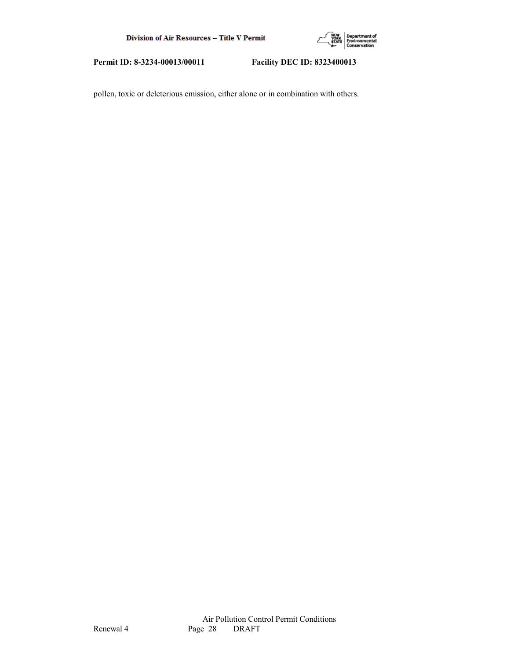

pollen, toxic or deleterious emission, either alone or in combination with others.